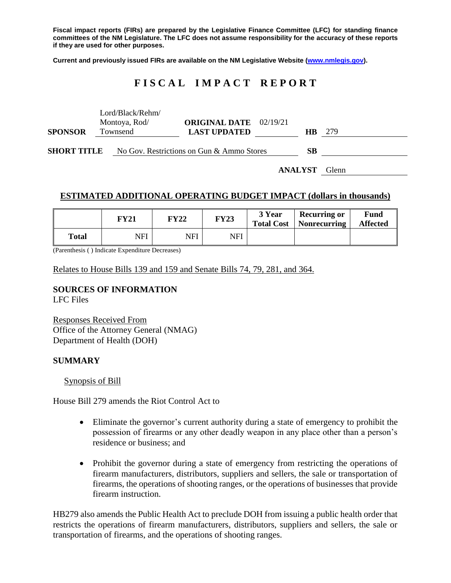**Fiscal impact reports (FIRs) are prepared by the Legislative Finance Committee (LFC) for standing finance committees of the NM Legislature. The LFC does not assume responsibility for the accuracy of these reports if they are used for other purposes.**

**Current and previously issued FIRs are available on the NM Legislative Website [\(www.nmlegis.gov\)](http://www.nmlegis.gov/).**

## **F I S C A L I M P A C T R E P O R T**

|                    |          | Lord/Black/Rehm/<br>Montoya, Rod/ | <b>ORIGINAL DATE</b> 02/19/21             |  |                |       |
|--------------------|----------|-----------------------------------|-------------------------------------------|--|----------------|-------|
| <b>SPONSOR</b>     | Townsend |                                   | <b>LAST UPDATED</b>                       |  | HB.            | -279  |
| <b>SHORT TITLE</b> |          |                                   | No Gov. Restrictions on Gun & Ammo Stores |  |                |       |
|                    |          |                                   |                                           |  | <b>ANALYST</b> | Glenn |

#### **ESTIMATED ADDITIONAL OPERATING BUDGET IMPACT (dollars in thousands)**

|              | FY21 | <b>FY22</b> | <b>FY23</b> | 3 Year | <b>Recurring or</b><br>Total Cost   Nonrecurring | Fund<br><b>Affected</b> |
|--------------|------|-------------|-------------|--------|--------------------------------------------------|-------------------------|
| <b>Total</b> | NFI  | NFI         | NFI         |        |                                                  |                         |

(Parenthesis ( ) Indicate Expenditure Decreases)

Relates to House Bills 139 and 159 and Senate Bills 74, 79, 281, and 364.

# **SOURCES OF INFORMATION**

LFC Files

Responses Received From Office of the Attorney General (NMAG) Department of Health (DOH)

#### **SUMMARY**

Synopsis of Bill

House Bill 279 amends the Riot Control Act to

- Eliminate the governor's current authority during a state of emergency to prohibit the possession of firearms or any other deadly weapon in any place other than a person's residence or business; and
- Prohibit the governor during a state of emergency from restricting the operations of firearm manufacturers, distributors, suppliers and sellers, the sale or transportation of firearms, the operations of shooting ranges, or the operations of businesses that provide firearm instruction.

HB279 also amends the Public Health Act to preclude DOH from issuing a public health order that restricts the operations of firearm manufacturers, distributors, suppliers and sellers, the sale or transportation of firearms, and the operations of shooting ranges.